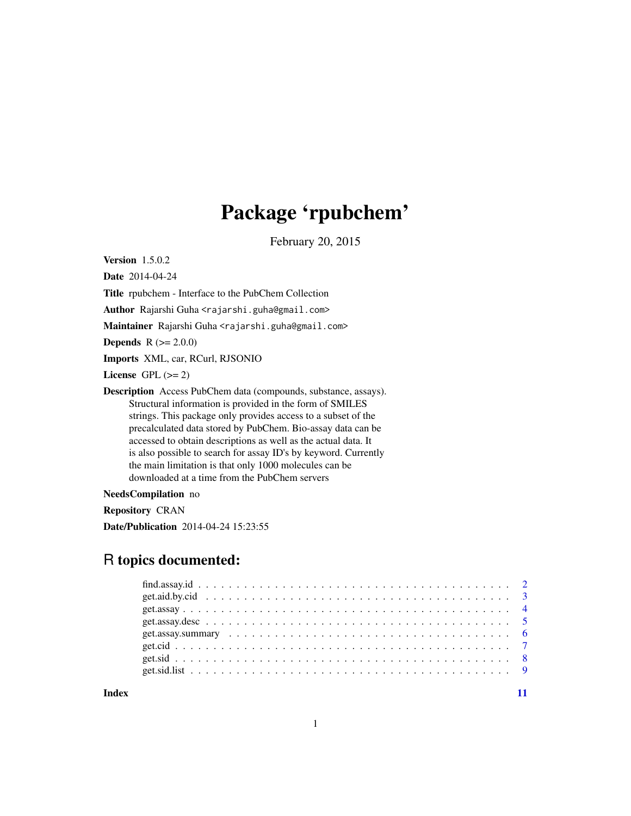## Package 'rpubchem'

February 20, 2015

Version 1.5.0.2

Date 2014-04-24

Title rpubchem - Interface to the PubChem Collection

Author Rajarshi Guha <rajarshi.guha@gmail.com>

Maintainer Rajarshi Guha <rajarshi.guha@gmail.com>

**Depends**  $R (= 2.0.0)$ 

Imports XML, car, RCurl, RJSONIO

License GPL  $(>= 2)$ 

Description Access PubChem data (compounds, substance, assays). Structural information is provided in the form of SMILES strings. This package only provides access to a subset of the precalculated data stored by PubChem. Bio-assay data can be accessed to obtain descriptions as well as the actual data. It is also possible to search for assay ID's by keyword. Currently the main limitation is that only 1000 molecules can be downloaded at a time from the PubChem servers

NeedsCompilation no

Repository CRAN

Date/Publication 2014-04-24 15:23:55

## R topics documented:

**Index** [11](#page-10-0)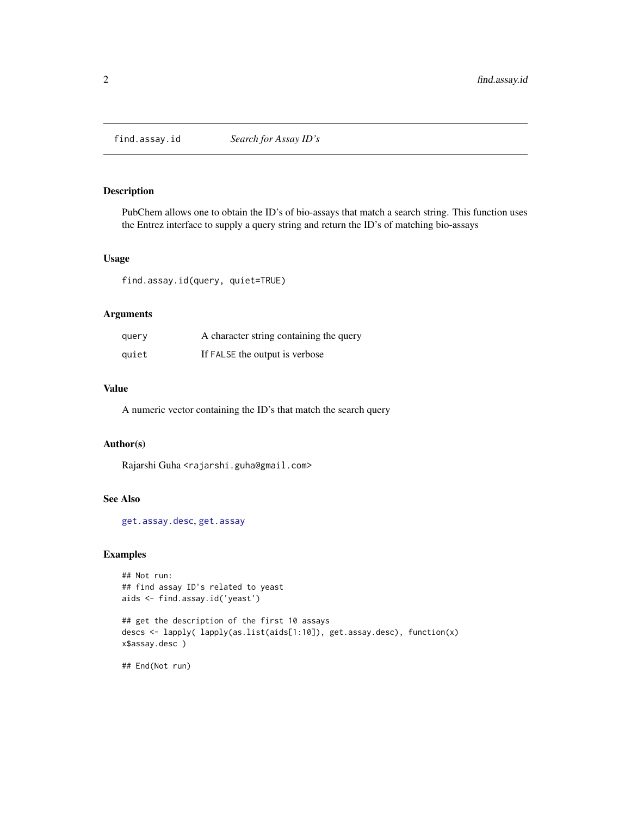<span id="page-1-1"></span><span id="page-1-0"></span>

PubChem allows one to obtain the ID's of bio-assays that match a search string. This function uses the Entrez interface to supply a query string and return the ID's of matching bio-assays

#### Usage

find.assay.id(query, quiet=TRUE)

## Arguments

| query | A character string containing the query |
|-------|-----------------------------------------|
| quiet | If FALSE the output is verbose          |

#### Value

A numeric vector containing the ID's that match the search query

## Author(s)

Rajarshi Guha <rajarshi.guha@gmail.com>

## See Also

[get.assay.desc](#page-4-1), [get.assay](#page-3-1)

## Examples

```
## Not run:
## find assay ID's related to yeast
aids <- find.assay.id('yeast')
```

```
## get the description of the first 10 assays
descs <- lapply( lapply(as.list(aids[1:10]), get.assay.desc), function(x)
x$assay.desc )
```
## End(Not run)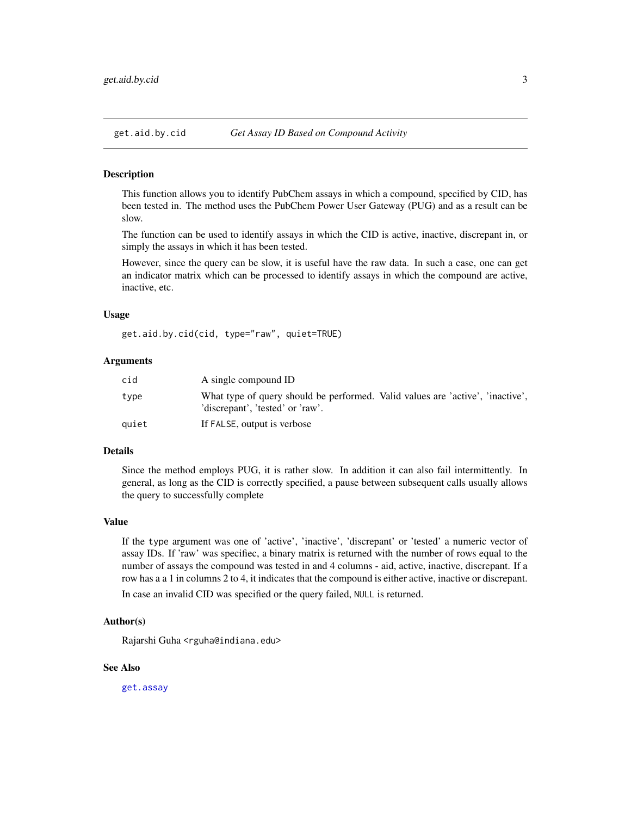<span id="page-2-0"></span>

This function allows you to identify PubChem assays in which a compound, specified by CID, has been tested in. The method uses the PubChem Power User Gateway (PUG) and as a result can be slow.

The function can be used to identify assays in which the CID is active, inactive, discrepant in, or simply the assays in which it has been tested.

However, since the query can be slow, it is useful have the raw data. In such a case, one can get an indicator matrix which can be processed to identify assays in which the compound are active, inactive, etc.

#### Usage

get.aid.by.cid(cid, type="raw", quiet=TRUE)

#### Arguments

| cid   | A single compound ID                                                                                               |
|-------|--------------------------------------------------------------------------------------------------------------------|
| type  | What type of query should be performed. Valid values are 'active', 'inactive',<br>'discrepant', 'tested' or 'raw'. |
| quiet | If FALSE, output is verbose                                                                                        |

#### Details

Since the method employs PUG, it is rather slow. In addition it can also fail intermittently. In general, as long as the CID is correctly specified, a pause between subsequent calls usually allows the query to successfully complete

#### Value

If the type argument was one of 'active', 'inactive', 'discrepant' or 'tested' a numeric vector of assay IDs. If 'raw' was specifiec, a binary matrix is returned with the number of rows equal to the number of assays the compound was tested in and 4 columns - aid, active, inactive, discrepant. If a row has a a 1 in columns 2 to 4, it indicates that the compound is either active, inactive or discrepant.

In case an invalid CID was specified or the query failed, NULL is returned.

#### Author(s)

Rajarshi Guha <rguha@indiana.edu>

#### See Also

[get.assay](#page-3-1)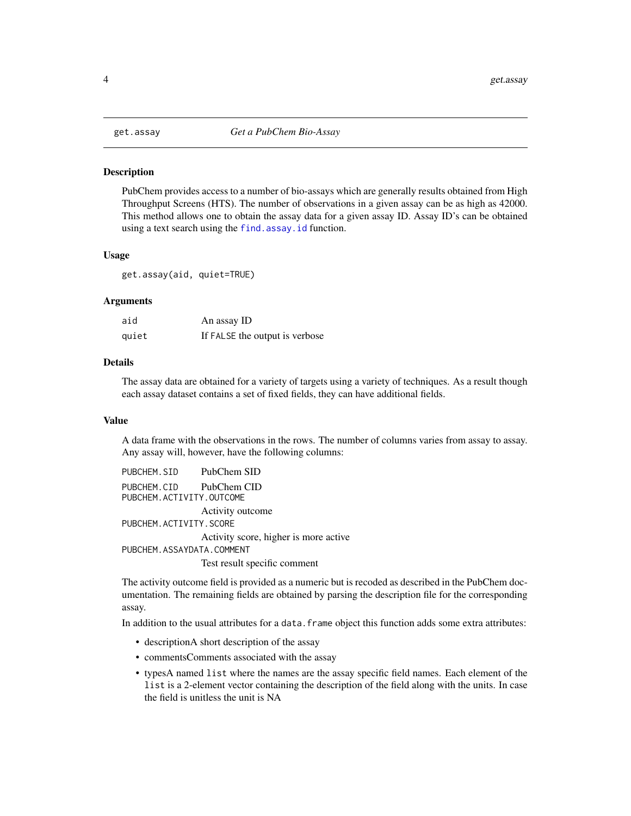<span id="page-3-1"></span><span id="page-3-0"></span>

PubChem provides access to a number of bio-assays which are generally results obtained from High Throughput Screens (HTS). The number of observations in a given assay can be as high as 42000. This method allows one to obtain the assay data for a given assay ID. Assay ID's can be obtained using a text search using the [find.assay.id](#page-1-1) function.

#### Usage

get.assay(aid, quiet=TRUE)

## Arguments

| aid   | An assay ID                    |
|-------|--------------------------------|
| quiet | If FALSE the output is verbose |

## Details

The assay data are obtained for a variety of targets using a variety of techniques. As a result though each assay dataset contains a set of fixed fields, they can have additional fields.

#### Value

A data frame with the observations in the rows. The number of columns varies from assay to assay. Any assay will, however, have the following columns:

PUBCHEM.SID PubChem SID PUBCHEM.CID PubChem CID PUBCHEM.ACTIVITY.OUTCOME Activity outcome PUBCHEM.ACTIVITY.SCORE Activity score, higher is more active PUBCHEM.ASSAYDATA.COMMENT

Test result specific comment

The activity outcome field is provided as a numeric but is recoded as described in the PubChem documentation. The remaining fields are obtained by parsing the description file for the corresponding assay.

In addition to the usual attributes for a data. frame object this function adds some extra attributes:

- descriptionA short description of the assay
- commentsComments associated with the assay
- typesA named list where the names are the assay specific field names. Each element of the list is a 2-element vector containing the description of the field along with the units. In case the field is unitless the unit is NA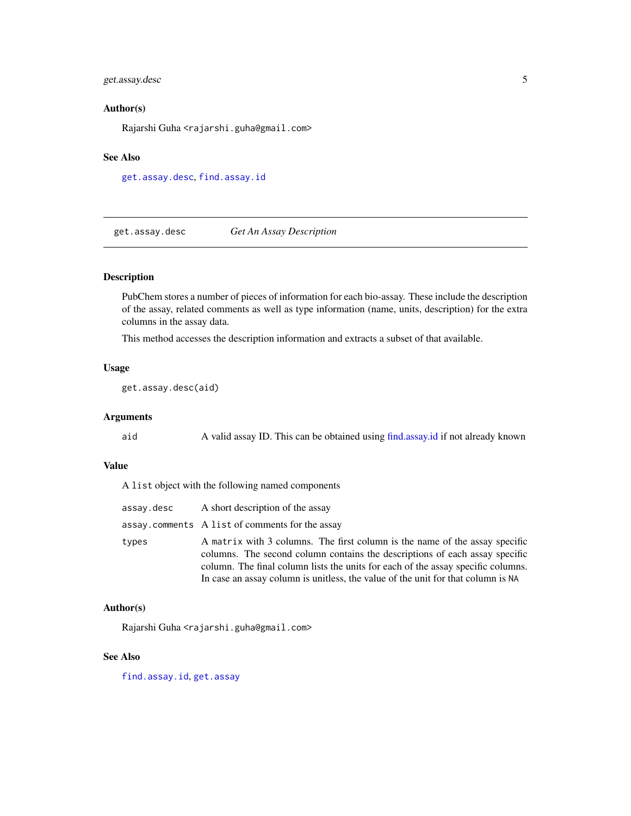## <span id="page-4-0"></span>get.assay.desc 5

## Author(s)

Rajarshi Guha <rajarshi.guha@gmail.com>

#### See Also

[get.assay.desc](#page-4-1), [find.assay.id](#page-1-1)

<span id="page-4-1"></span>get.assay.desc *Get An Assay Description*

## Description

PubChem stores a number of pieces of information for each bio-assay. These include the description of the assay, related comments as well as type information (name, units, description) for the extra columns in the assay data.

This method accesses the description information and extracts a subset of that available.

## Usage

get.assay.desc(aid)

## Arguments

aid A valid assay ID. This can be obtained using [find.assay.id](#page-1-1) if not already known

## Value

A list object with the following named components

| assay.desc | A short description of the assay                                                                                                                                                                                                                                                                                                   |
|------------|------------------------------------------------------------------------------------------------------------------------------------------------------------------------------------------------------------------------------------------------------------------------------------------------------------------------------------|
|            | assay.comments A list of comments for the assay                                                                                                                                                                                                                                                                                    |
| types      | A matrix with 3 columns. The first column is the name of the assay specific<br>columns. The second column contains the descriptions of each assay specific<br>column. The final column lists the units for each of the assay specific columns.<br>In case an assay column is unitless, the value of the unit for that column is NA |

## Author(s)

Rajarshi Guha <rajarshi.guha@gmail.com>

## See Also

[find.assay.id](#page-1-1), [get.assay](#page-3-1)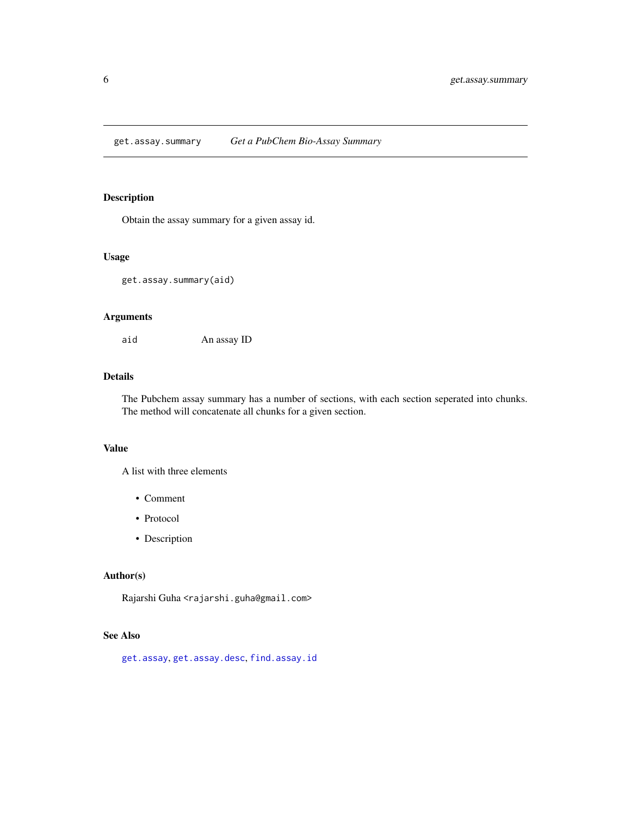<span id="page-5-0"></span>get.assay.summary *Get a PubChem Bio-Assay Summary*

## Description

Obtain the assay summary for a given assay id.

## Usage

get.assay.summary(aid)

## Arguments

aid An assay ID

## Details

The Pubchem assay summary has a number of sections, with each section seperated into chunks. The method will concatenate all chunks for a given section.

## Value

A list with three elements

- Comment
- Protocol
- Description

## Author(s)

Rajarshi Guha <rajarshi.guha@gmail.com>

## See Also

[get.assay](#page-3-1), [get.assay.desc](#page-4-1), [find.assay.id](#page-1-1)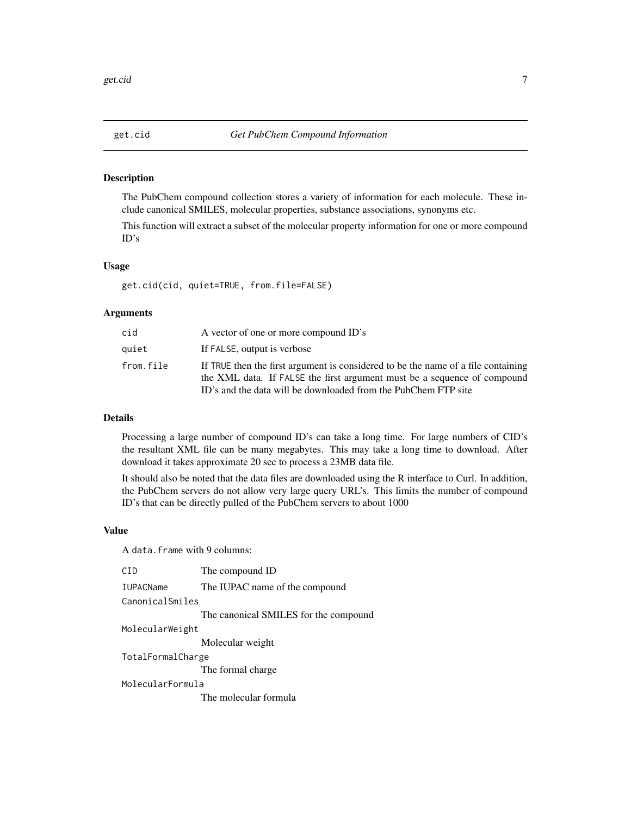<span id="page-6-1"></span><span id="page-6-0"></span>

The PubChem compound collection stores a variety of information for each molecule. These include canonical SMILES, molecular properties, substance associations, synonyms etc.

This function will extract a subset of the molecular property information for one or more compound ID's

#### Usage

get.cid(cid, quiet=TRUE, from.file=FALSE)

## Arguments

| cid       | A vector of one or more compound ID's                                                                                                                                                                                           |
|-----------|---------------------------------------------------------------------------------------------------------------------------------------------------------------------------------------------------------------------------------|
| quiet     | If FALSE, output is verbose                                                                                                                                                                                                     |
| from.file | If TRUE then the first argument is considered to be the name of a file containing<br>the XML data. If FALSE the first argument must be a sequence of compound<br>ID's and the data will be downloaded from the PubChem FTP site |

#### Details

Processing a large number of compound ID's can take a long time. For large numbers of CID's the resultant XML file can be many megabytes. This may take a long time to download. After download it takes approximate 20 sec to process a 23MB data file.

It should also be noted that the data files are downloaded using the R interface to Curl. In addition, the PubChem servers do not allow very large query URL's. This limits the number of compound ID's that can be directly pulled of the PubChem servers to about 1000

#### Value

A data.frame with 9 columns:

| CTD.              | The compound ID                       |
|-------------------|---------------------------------------|
| <b>IUPACName</b>  | The IUPAC name of the compound        |
| CanonicalSmiles   |                                       |
|                   | The canonical SMILES for the compound |
| MolecularWeight   |                                       |
|                   | Molecular weight                      |
| TotalFormalCharge |                                       |
|                   | The formal charge.                    |
| MolecularFormula  |                                       |
|                   | The molecular formula                 |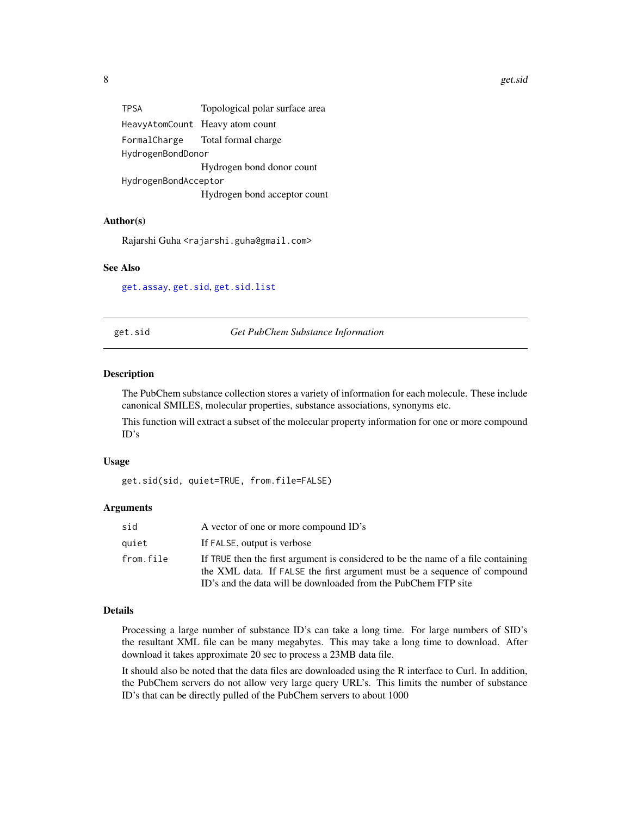<span id="page-7-0"></span>

| <b>TPSA</b>          | Topological polar surface area   |
|----------------------|----------------------------------|
|                      | HeavyAtomCount Heavy atom count  |
|                      | FormalCharge Total formal charge |
| HydrogenBondDonor    |                                  |
|                      | Hydrogen bond donor count        |
| HydrogenBondAcceptor |                                  |
|                      | Hydrogen bond acceptor count     |

## Author(s)

Rajarshi Guha <rajarshi.guha@gmail.com>

## See Also

[get.assay](#page-3-1), [get.sid](#page-7-1), [get.sid.list](#page-8-1)

<span id="page-7-1"></span>get.sid *Get PubChem Substance Information*

#### Description

The PubChem substance collection stores a variety of information for each molecule. These include canonical SMILES, molecular properties, substance associations, synonyms etc.

This function will extract a subset of the molecular property information for one or more compound ID's

#### Usage

```
get.sid(sid, quiet=TRUE, from.file=FALSE)
```
#### Arguments

| sid       | A vector of one or more compound ID's                                                                                                                                                                                           |
|-----------|---------------------------------------------------------------------------------------------------------------------------------------------------------------------------------------------------------------------------------|
| quiet     | If FALSE, output is verbose                                                                                                                                                                                                     |
| from.file | If TRUE then the first argument is considered to be the name of a file containing<br>the XML data. If FALSE the first argument must be a sequence of compound<br>ID's and the data will be downloaded from the PubChem FTP site |

## Details

Processing a large number of substance ID's can take a long time. For large numbers of SID's the resultant XML file can be many megabytes. This may take a long time to download. After download it takes approximate 20 sec to process a 23MB data file.

It should also be noted that the data files are downloaded using the R interface to Curl. In addition, the PubChem servers do not allow very large query URL's. This limits the number of substance ID's that can be directly pulled of the PubChem servers to about 1000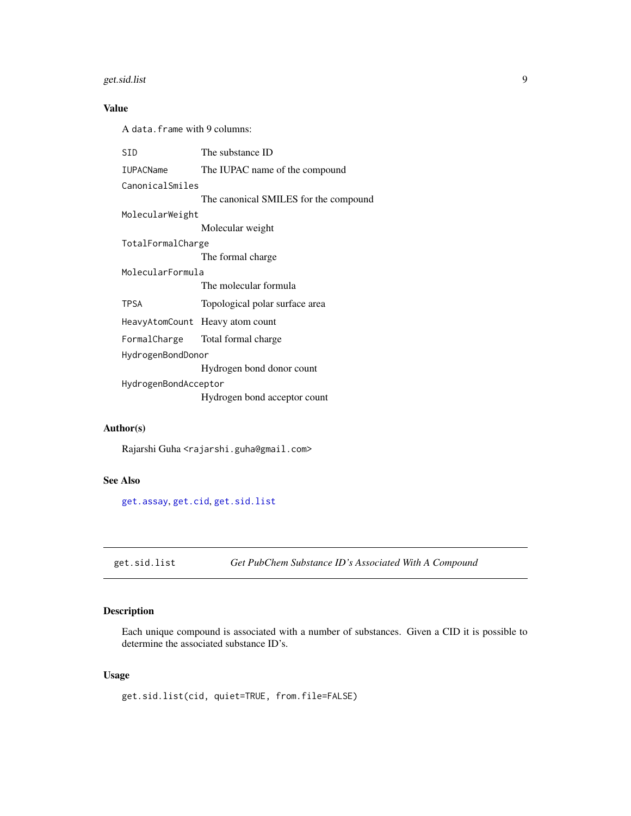## <span id="page-8-0"></span>get.sid.list 9

## Value

A data.frame with 9 columns:

| The substance ID                      |  |
|---------------------------------------|--|
| The IUPAC name of the compound        |  |
| CanonicalSmiles                       |  |
| The canonical SMILES for the compound |  |
| MolecularWeight                       |  |
| Molecular weight                      |  |
| TotalFormalCharge                     |  |
| The formal charge.                    |  |
| MolecularFormula                      |  |
| The molecular formula                 |  |
| Topological polar surface area        |  |
| HeavyAtomCount Heavy atom count       |  |
| FormalCharge Total formal charge      |  |
| HydrogenBondDonor                     |  |
| Hydrogen bond donor count             |  |
| HydrogenBondAcceptor                  |  |
| Hydrogen bond acceptor count          |  |
|                                       |  |

## Author(s)

Rajarshi Guha <rajarshi.guha@gmail.com>

## See Also

[get.assay](#page-3-1), [get.cid](#page-6-1), [get.sid.list](#page-8-1)

<span id="page-8-1"></span>get.sid.list *Get PubChem Substance ID's Associated With A Compound*

## Description

Each unique compound is associated with a number of substances. Given a CID it is possible to determine the associated substance ID's.

## Usage

get.sid.list(cid, quiet=TRUE, from.file=FALSE)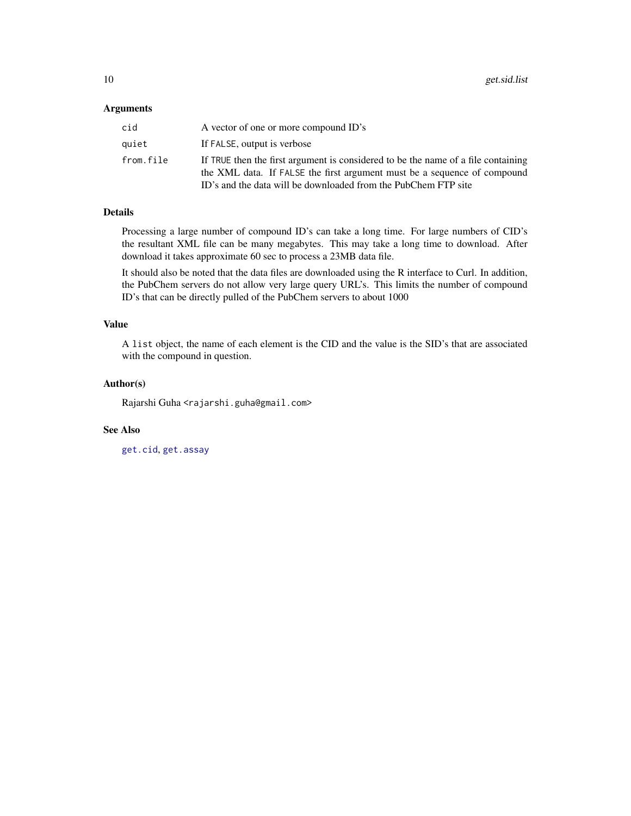#### <span id="page-9-0"></span>Arguments

| cid       | A vector of one or more compound ID's                                                                                                                                                                                           |
|-----------|---------------------------------------------------------------------------------------------------------------------------------------------------------------------------------------------------------------------------------|
| quiet     | If FALSE, output is verbose                                                                                                                                                                                                     |
| from.file | If TRUE then the first argument is considered to be the name of a file containing<br>the XML data. If FALSE the first argument must be a sequence of compound<br>ID's and the data will be downloaded from the PubChem FTP site |

## Details

Processing a large number of compound ID's can take a long time. For large numbers of CID's the resultant XML file can be many megabytes. This may take a long time to download. After download it takes approximate 60 sec to process a 23MB data file.

It should also be noted that the data files are downloaded using the R interface to Curl. In addition, the PubChem servers do not allow very large query URL's. This limits the number of compound ID's that can be directly pulled of the PubChem servers to about 1000

## Value

A list object, the name of each element is the CID and the value is the SID's that are associated with the compound in question.

## Author(s)

Rajarshi Guha <rajarshi.guha@gmail.com>

## See Also

[get.cid](#page-6-1), [get.assay](#page-3-1)